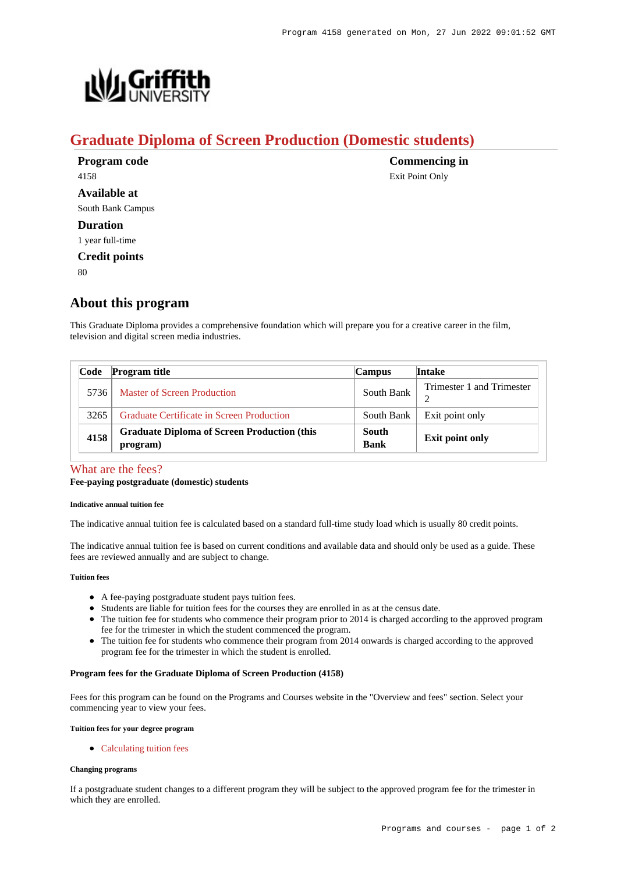**Commencing in** Exit Point Only



# **Graduate Diploma of Screen Production (Domestic students)**

| Program code         |  |
|----------------------|--|
| 4158                 |  |
| Available at         |  |
| South Bank Campus    |  |
| <b>Duration</b>      |  |
| 1 year full-time     |  |
| <b>Credit points</b> |  |

 $80$ 

# **About this program**

This Graduate Diploma provides a comprehensive foundation which will prepare you for a creative career in the film, television and digital screen media industries.

| Code | <b>Program title</b>                                           | <b>Campus</b>        | <b>Intake</b>             |
|------|----------------------------------------------------------------|----------------------|---------------------------|
| 5736 | Master of Screen Production                                    | South Bank           | Trimester 1 and Trimester |
| 3265 | <b>Graduate Certificate in Screen Production</b>               | South Bank           | Exit point only           |
| 4158 | <b>Graduate Diploma of Screen Production (this</b><br>program) | South<br><b>Bank</b> | <b>Exit point only</b>    |

## [What are the fees?](https://www148.griffith.edu.au/programs-courses/Program/4158/Overview/#fees)

#### **Fee-paying postgraduate (domestic) students**

#### **Indicative annual tuition fee**

The indicative annual tuition fee is calculated based on a standard full-time study load which is usually 80 credit points.

The indicative annual tuition fee is based on current conditions and available data and should only be used as a guide. These fees are reviewed annually and are subject to change.

#### **Tuition fees**

- A fee-paying postgraduate student pays tuition fees.
- Students are liable for tuition fees for the courses they are enrolled in as at the census date.
- The tuition fee for students who commence their program prior to 2014 is charged according to the approved program fee for the trimester in which the student commenced the program.
- The tuition fee for students who commence their program from 2014 onwards is charged according to the approved program fee for the trimester in which the student is enrolled.

#### **Program fees for the Graduate Diploma of Screen Production (4158)**

Fees for this program can be found on the Programs and Courses website in the "Overview and fees" section. Select your commencing year to view your fees.

**Tuition fees for your degree program**

• [Calculating tuition fees](https://www.griffith.edu.au/fees-charges/domestic-students/calculating-tuition-fees)

#### **Changing programs**

If a postgraduate student changes to a different program they will be subject to the approved program fee for the trimester in which they are enrolled.